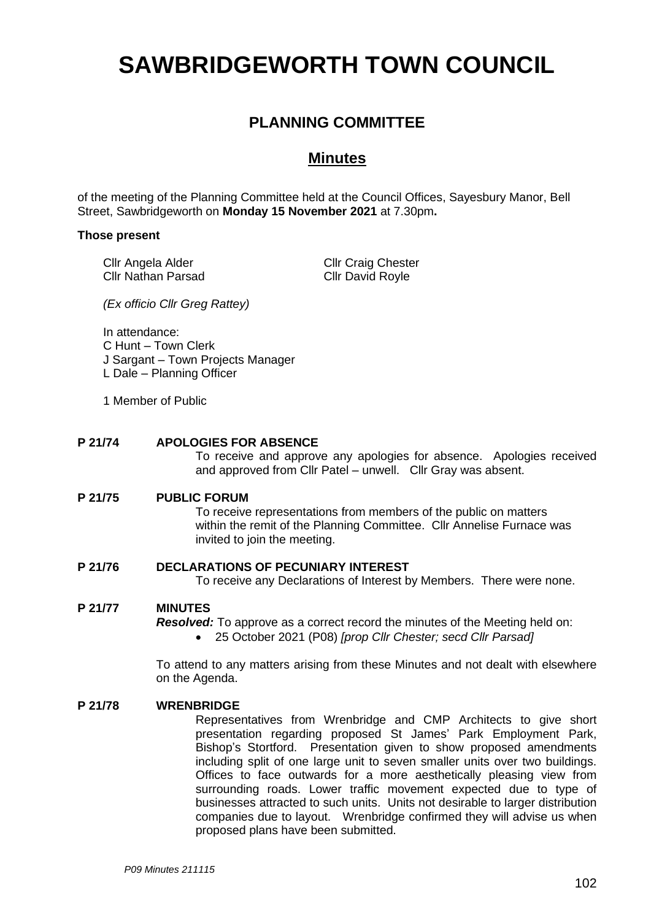# **SAWBRIDGEWORTH TOWN COUNCIL**

# **PLANNING COMMITTEE**

# **Minutes**

of the meeting of the Planning Committee held at the Council Offices, Sayesbury Manor, Bell Street, Sawbridgeworth on **Monday 15 November 2021** at 7.30pm**.**

# **Those present**

Cllr Angela Alder Cllr Nathan Parsad Cllr Craig Chester Cllr David Royle

*(Ex officio Cllr Greg Rattey)*

In attendance:

C Hunt – Town Clerk

- J Sargant Town Projects Manager
- L Dale Planning Officer
- 1 Member of Public

# **P 21/74 APOLOGIES FOR ABSENCE**

To receive and approve any apologies for absence. Apologies received and approved from Cllr Patel – unwell. Cllr Gray was absent.

# **P 21/75 PUBLIC FORUM**

To receive representations from members of the public on matters within the remit of the Planning Committee. Cllr Annelise Furnace was invited to join the meeting.

# **P 21/76 DECLARATIONS OF PECUNIARY INTEREST**

To receive any Declarations of Interest by Members. There were none.

# **P 21/77 MINUTES**

*Resolved:* To approve as a correct record the minutes of the Meeting held on:

• 25 October 2021 (P08) *[prop Cllr Chester; secd Cllr Parsad]*

To attend to any matters arising from these Minutes and not dealt with elsewhere on the Agenda.

### **P 21/78 WRENBRIDGE**

Representatives from Wrenbridge and CMP Architects to give short presentation regarding proposed St James' Park Employment Park, Bishop's Stortford. Presentation given to show proposed amendments including split of one large unit to seven smaller units over two buildings. Offices to face outwards for a more aesthetically pleasing view from surrounding roads. Lower traffic movement expected due to type of businesses attracted to such units. Units not desirable to larger distribution companies due to layout. Wrenbridge confirmed they will advise us when proposed plans have been submitted.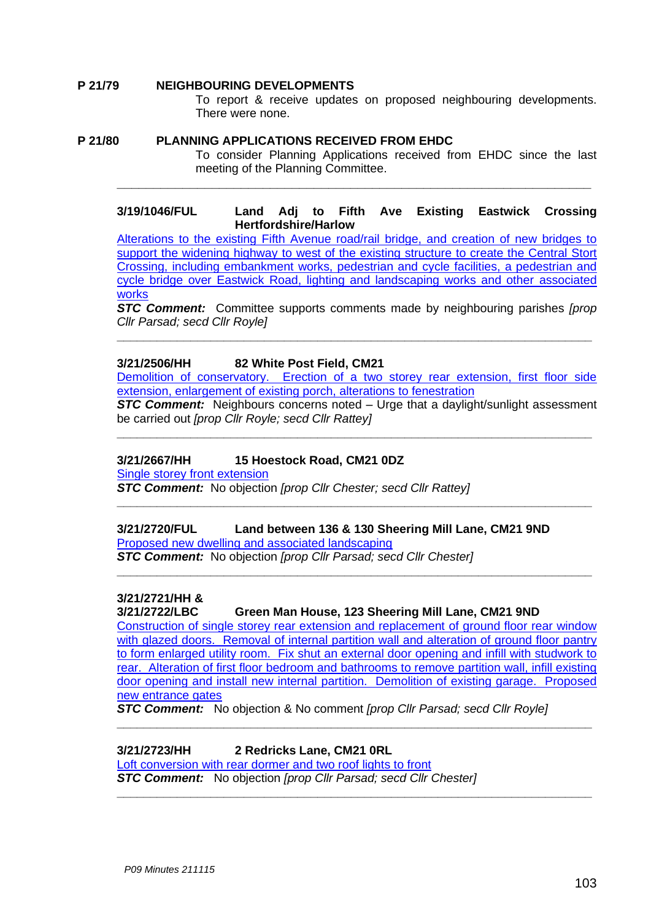# **P 21/79 NEIGHBOURING DEVELOPMENTS**

To report & receive updates on proposed neighbouring developments. There were none.

# **P 21/80 PLANNING APPLICATIONS RECEIVED FROM EHDC**

To consider Planning Applications received from EHDC since the last meeting of the Planning Committee.

# **3/19/1046/FUL Land Adj to Fifth Ave Existing Eastwick Crossing Hertfordshire/Harlow**

**\_\_\_\_\_\_\_\_\_\_\_\_\_\_\_\_\_\_\_\_\_\_\_\_\_\_\_\_\_\_\_\_\_\_\_\_\_\_\_\_\_\_\_\_\_\_\_\_\_\_\_\_\_\_\_\_\_\_\_\_\_\_\_\_\_**

[Alterations to the existing Fifth Avenue road/rail bridge, and creation of new bridges to](https://publicaccess.eastherts.gov.uk/online-applications/applicationDetails.do?activeTab=documents&keyVal=PRSSZAGL00V00)  support the widening highway to west of the existing structure to create the Central Stort [Crossing, including embankment works, pedestrian and cycle facilities, a pedestrian and](https://publicaccess.eastherts.gov.uk/online-applications/applicationDetails.do?activeTab=documents&keyVal=PRSSZAGL00V00)  [cycle bridge over Eastwick Road, lighting and landscaping works and other associated](https://publicaccess.eastherts.gov.uk/online-applications/applicationDetails.do?activeTab=documents&keyVal=PRSSZAGL00V00)  [works](https://publicaccess.eastherts.gov.uk/online-applications/applicationDetails.do?activeTab=documents&keyVal=PRSSZAGL00V00)

*STC Comment:* Committee supports comments made by neighbouring parishes *[prop Cllr Parsad; secd Cllr Royle]*

**\_\_\_\_\_\_\_\_\_\_\_\_\_\_\_\_\_\_\_\_\_\_\_\_\_\_\_\_\_\_\_\_\_\_\_\_\_\_\_\_\_\_\_\_\_\_\_\_\_\_\_\_\_\_\_\_\_\_\_\_\_\_\_\_\_\_\_\_\_\_\_**

# **3/21/2506/HH 82 White Post Field, CM21**

Demolition of conservatory. Erection of [a two storey rear extension, first floor side](https://publicaccess.eastherts.gov.uk/online-applications/applicationDetails.do?keyVal=R0B0ERGLHBL00&activeTab=summary)  [extension, enlargement of existing porch, alterations to fenestration](https://publicaccess.eastherts.gov.uk/online-applications/applicationDetails.do?keyVal=R0B0ERGLHBL00&activeTab=summary)

**STC Comment:** Neighbours concerns noted – Urge that a daylight/sunlight assessment be carried out *[prop Cllr Royle; secd Cllr Rattey]*

**\_\_\_\_\_\_\_\_\_\_\_\_\_\_\_\_\_\_\_\_\_\_\_\_\_\_\_\_\_\_\_\_\_\_\_\_\_\_\_\_\_\_\_\_\_\_\_\_\_\_\_\_\_\_\_\_\_\_\_\_\_\_\_\_\_\_\_\_\_\_\_**

**\_\_\_\_\_\_\_\_\_\_\_\_\_\_\_\_\_\_\_\_\_\_\_\_\_\_\_\_\_\_\_\_\_\_\_\_\_\_\_\_\_\_\_\_\_\_\_\_\_\_\_\_\_\_\_\_\_\_\_\_\_\_\_\_\_\_\_\_\_\_\_**

**\_\_\_\_\_\_\_\_\_\_\_\_\_\_\_\_\_\_\_\_\_\_\_\_\_\_\_\_\_\_\_\_\_\_\_\_\_\_\_\_\_\_\_\_\_\_\_\_\_\_\_\_\_\_\_\_\_\_\_\_\_\_\_\_\_\_\_\_\_\_\_**

# **3/21/2667/HH 15 Hoestock Road, CM21 0DZ**

[Single storey front extension](https://publicaccess.eastherts.gov.uk/online-applications/applicationDetails.do?keyVal=R1F4UQGLHNT00&activeTab=summary)

*STC Comment:* No objection *[prop Cllr Chester; secd Cllr Rattey]*

**3/21/2720/FUL Land between 136 & 130 Sheering Mill Lane, CM21 9ND** [Proposed new dwelling and associated landscaping](https://publicaccess.eastherts.gov.uk/online-applications/applicationDetails.do?activeTab=documents&keyVal=R1Q8WBGLHRF00) *STC Comment:* No objection *[prop Cllr Parsad; secd Cllr Chester]*

# **3/21/2721/HH &**

**3/21/2722/LBC Green Man House, 123 Sheering Mill Lane, CM21 9ND**

[Construction of single storey rear extension and replacement of ground floor rear window](https://publicaccess.eastherts.gov.uk/online-applications/applicationDetails.do?activeTab=documents&keyVal=R1Q8XSGLHRI00)  with glazed doors. Removal of internal partition wall and alteration of ground floor pantry [to form enlarged utility room. Fix shut an external door opening and infill with studwork to](https://publicaccess.eastherts.gov.uk/online-applications/applicationDetails.do?activeTab=documents&keyVal=R1Q8XSGLHRI00)  [rear. Alteration of first floor bedroom and bathrooms to remove partition wall, infill existing](https://publicaccess.eastherts.gov.uk/online-applications/applicationDetails.do?activeTab=documents&keyVal=R1Q8XSGLHRI00)  [door opening and install new internal partition. Demolition of existing garage. Proposed](https://publicaccess.eastherts.gov.uk/online-applications/applicationDetails.do?activeTab=documents&keyVal=R1Q8XSGLHRI00)  new [entrance gates](https://publicaccess.eastherts.gov.uk/online-applications/applicationDetails.do?activeTab=documents&keyVal=R1Q8XSGLHRI00)

**\_\_\_\_\_\_\_\_\_\_\_\_\_\_\_\_\_\_\_\_\_\_\_\_\_\_\_\_\_\_\_\_\_\_\_\_\_\_\_\_\_\_\_\_\_\_\_\_\_\_\_\_\_\_\_\_\_\_\_\_\_\_\_\_\_\_\_\_\_\_\_**

**\_\_\_\_\_\_\_\_\_\_\_\_\_\_\_\_\_\_\_\_\_\_\_\_\_\_\_\_\_\_\_\_\_\_\_\_\_\_\_\_\_\_\_\_\_\_\_\_\_\_\_\_\_\_\_\_\_\_\_\_\_\_\_\_\_\_\_\_\_\_\_**

*STC Comment:* No objection & No comment *[prop Cllr Parsad; secd Cllr Royle]*

## **3/21/2723/HH 2 Redricks Lane, CM21 0RL**

Loft conversion with rear [dormer and two roof lights to front](https://publicaccess.eastherts.gov.uk/online-applications/applicationDetails.do?activeTab=documents&keyVal=R1Q8Y3GLHRM00) *STC Comment:* No objection *[prop Cllr Parsad; secd Cllr Chester]*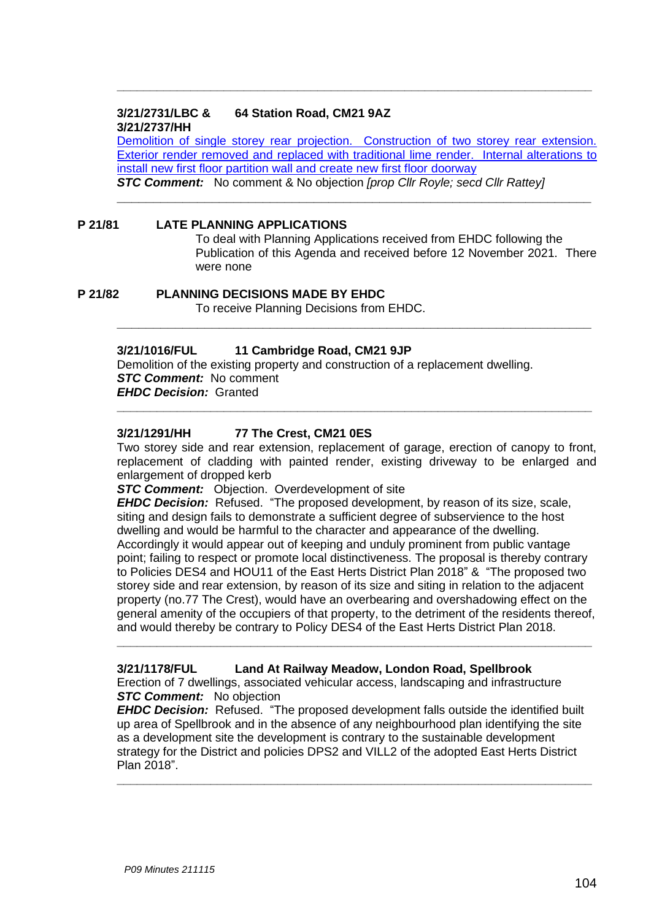# **3/21/2731/LBC & 64 Station Road, CM21 9AZ 3/21/2737/HH**

Demolition of single storey rear projection. Construction of two storey rear extension. Exterior render removed and [replaced with traditional lime render. Internal alterations to](https://publicaccess.eastherts.gov.uk/online-applications/applicationDetails.do?activeTab=documents&keyVal=R1VVL9GLHSX00)  [install new first floor partition wall and create new first floor doorway](https://publicaccess.eastherts.gov.uk/online-applications/applicationDetails.do?activeTab=documents&keyVal=R1VVL9GLHSX00) *STC Comment:* No comment & No objection *[prop Cllr Royle; secd Cllr Rattey]*

**\_\_\_\_\_\_\_\_\_\_\_\_\_\_\_\_\_\_\_\_\_\_\_\_\_\_\_\_\_\_\_\_\_\_\_\_\_\_\_\_\_\_\_\_\_\_\_\_\_\_\_\_\_\_\_\_\_\_\_\_\_\_\_\_\_**

**\_\_\_\_\_\_\_\_\_\_\_\_\_\_\_\_\_\_\_\_\_\_\_\_\_\_\_\_\_\_\_\_\_\_\_\_\_\_\_\_\_\_\_\_\_\_\_\_\_\_\_\_\_\_\_\_\_\_\_\_\_\_\_\_\_**

**\_\_\_\_\_\_\_\_\_\_\_\_\_\_\_\_\_\_\_\_\_\_\_\_\_\_\_\_\_\_\_\_\_\_\_\_\_\_\_\_\_\_\_\_\_\_\_\_\_\_\_\_\_\_\_\_\_\_\_\_\_\_\_\_\_\_\_\_\_\_\_**

# **P 21/81 LATE PLANNING APPLICATIONS**

To deal with Planning Applications received from EHDC following the Publication of this Agenda and received before 12 November 2021. There were none

# **P 21/82 PLANNING DECISIONS MADE BY EHDC**

To receive Planning Decisions from EHDC.

# **3/21/1016/FUL 11 Cambridge Road, CM21 9JP**

Demolition of the existing property and construction of a replacement dwelling. *STC Comment:* No comment *EHDC Decision:* Granted

### **3/21/1291/HH 77 The Crest, CM21 0ES**

Two storey side and rear extension, replacement of garage, erection of canopy to front, replacement of cladding with painted render, existing driveway to be enlarged and enlargement of dropped kerb

**\_\_\_\_\_\_\_\_\_\_\_\_\_\_\_\_\_\_\_\_\_\_\_\_\_\_\_\_\_\_\_\_\_\_\_\_\_\_\_\_\_\_\_\_\_\_\_\_\_\_\_\_\_\_\_\_\_\_\_\_\_\_\_\_\_\_\_\_\_\_\_**

**STC Comment:** Objection. Overdevelopment of site

*EHDC Decision:* Refused. "The proposed development, by reason of its size, scale, siting and design fails to demonstrate a sufficient degree of subservience to the host dwelling and would be harmful to the character and appearance of the dwelling. Accordingly it would appear out of keeping and unduly prominent from public vantage point; failing to respect or promote local distinctiveness. The proposal is thereby contrary to Policies DES4 and HOU11 of the East Herts District Plan 2018" & "The proposed two storey side and rear extension, by reason of its size and siting in relation to the adjacent property (no.77 The Crest), would have an overbearing and overshadowing effect on the general amenity of the occupiers of that property, to the detriment of the residents thereof, and would thereby be contrary to Policy DES4 of the East Herts District Plan 2018.

**\_\_\_\_\_\_\_\_\_\_\_\_\_\_\_\_\_\_\_\_\_\_\_\_\_\_\_\_\_\_\_\_\_\_\_\_\_\_\_\_\_\_\_\_\_\_\_\_\_\_\_\_\_\_\_\_\_\_\_\_\_\_\_\_\_\_\_\_\_\_\_**

### **3/21/1178/FUL Land At Railway Meadow, London Road, Spellbrook**

Erection of 7 dwellings, associated vehicular access, landscaping and infrastructure *STC Comment:* No objection

*EHDC Decision:* Refused. "The proposed development falls outside the identified built up area of Spellbrook and in the absence of any neighbourhood plan identifying the site as a development site the development is contrary to the sustainable development strategy for the District and policies DPS2 and VILL2 of the adopted East Herts District Plan 2018".

**\_\_\_\_\_\_\_\_\_\_\_\_\_\_\_\_\_\_\_\_\_\_\_\_\_\_\_\_\_\_\_\_\_\_\_\_\_\_\_\_\_\_\_\_\_\_\_\_\_\_\_\_\_\_\_\_\_\_\_\_\_\_\_\_\_\_\_\_\_\_\_**